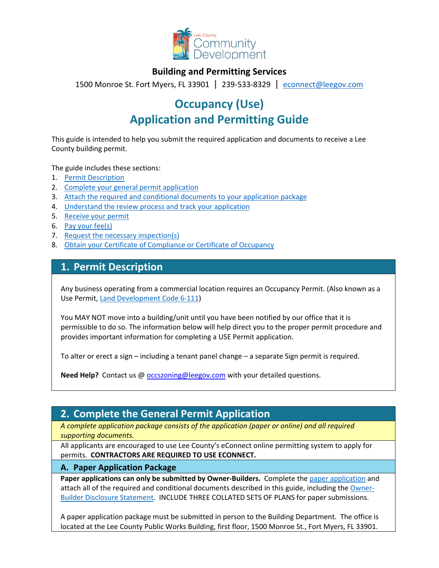

## **Building and Permitting Services**

1500 Monroe St. Fort Myers, FL 33901 | 239-533-8329 |[econnect@leegov.com](mailto:econnect@leegov.com)

# **Occupancy (Use) Application and Permitting Guide**

This guide is intended to help you submit the required application and documents to receive a Lee County building permit.

The guide includes these sections:

- 1. [Permit Description](#page-0-0)
- 2. [Complete your general permit application](#page-0-1)
- 3. [Attach the required and conditional documents to your application package](#page-2-0)
- 4. [Understand the review process and track your application](#page-3-0)
- 5. [Receive your permit](#page-4-0)
- 6. [Pay your fee\(s\)](#page-4-1)
- 7. [Request the necessary inspection\(s\)](#page-5-0)
- 8. [Obtain your Certificate of Compliance or Certificate of Occupancy](#page-5-1)

## <span id="page-0-0"></span>**1. Permit Description**

Any business operating from a commercial location requires an Occupancy Permit. (Also known as a Use Permit, [Land Development Code 6-111\)](https://library.municode.com/fl/lee_county/codes/land_development_code?nodeId=LADECO_CH6BUBURE_ARTIICOST_DIV3BUCO_S6-111STEFAM)

You MAY NOT move into a building/unit until you have been notified by our office that it is permissible to do so. The information below will help direct you to the proper permit procedure and provides important information for completing a USE Permit application.

To alter or erect a sign – including a tenant panel change – a separate Sign permit is required.

**Need Help?** Contact us @ **occszoning@leegov.com** with your detailed questions.

# <span id="page-0-1"></span>**2. Complete the General Permit Application**

*A complete application package consists of the application (paper or online) and all required supporting documents.*

All applicants are encouraged to use Lee County's eConnect online permitting system to apply for permits. **CONTRACTORS ARE REQUIRED TO USE ECONNECT.**

#### **A. Paper Application Package**

Paper applications can only be submitted by Owner-Builders. Complete the [paper application](https://www.leegov.com/dcd/PermittingDocs/UseApplication.pdf) and attach all of the required and conditional documents described in this guide, including the [Owner-](https://www.leegov.com/dcd/PermittingDocs/OwnerBldrDisclosure.pdf)[Builder Disclosure Statement.](https://www.leegov.com/dcd/PermittingDocs/OwnerBldrDisclosure.pdf) INCLUDE THREE COLLATED SETS OF PLANS for paper submissions.

A paper application package must be submitted in person to the Building Department. The office is located at the Lee County Public Works Building, first floor, 1500 Monroe St., Fort Myers, FL 33901.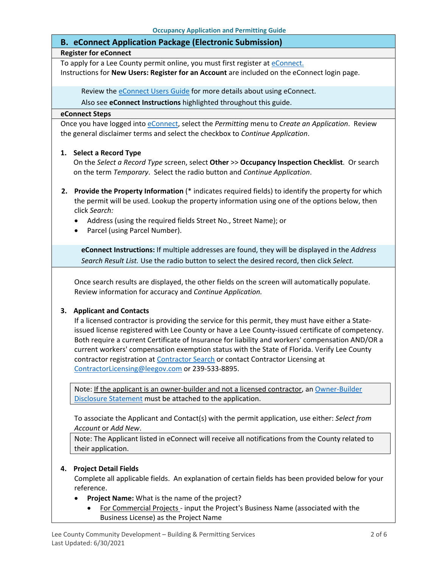#### **B. eConnect Application Package (Electronic Submission)**

#### **Register for eConnect**

To apply for a Lee County permit online, you must first register at *eConnect*. Instructions for **New Users: Register for an Account** are included on the eConnect login page.

Review th[e eConnect Users Guide](https://www.leegov.com/dcd/Documents/eServ/eConnect/eServicesGuide.pdf) for more details about using eConnect.

Also see **eConnect Instructions** highlighted throughout this guide.

#### **eConnect Steps**

Once you have logged into [eConnect,](https://accelaaca.leegov.com/aca/) select the *Permitting* menu to *Create an Application*. Review the general disclaimer terms and select the checkbox to *Continue Application*.

#### **1. Select a Record Type**

On the *Select a Record Type* screen, select **Other** >> **Occupancy Inspection Checklist**. Or search on the term *Temporary*. Select the radio button and *Continue Application*.

- **2. Provide the Property Information** (\* indicates required fields) to identify the property for which the permit will be used. Lookup the property information using one of the options below, then click *Search:*
	- Address (using the required fields Street No., Street Name); or
	- Parcel (using Parcel Number).

**eConnect Instructions:** If multiple addresses are found, they will be displayed in the *Address Search Result List.* Use the radio button to select the desired record, then click *Select.*

Once search results are displayed, the other fields on the screen will automatically populate. Review information for accuracy and *Continue Application.*

#### **3. Applicant and Contacts**

If a licensed contractor is providing the service for this permit, they must have either a Stateissued license registered with Lee County or have a Lee County-issued certificate of competency. Both require a current Certificate of Insurance for liability and workers' compensation AND/OR a current workers' compensation exemption status with the State of Florida. Verify Lee County contractor registration at [Contractor Search](https://www.leegov.com/dcd/ContLic/ActCont) or contact Contractor Licensing at [ContractorLicensing@leegov.com](mailto:ContractorLicensing@leegov.com) or 239-533-8895.

Note: If the applicant is an owner-builder and not a licensed contractor, an Owner-Builder [Disclosure Statement](https://www.leegov.com/dcd/PermittingDocs/OwnerBldrDisclosure.pdf) must be attached to the application.

To associate the Applicant and Contact(s) with the permit application, use either: *Select from Account* or *Add New*.

Note: The Applicant listed in eConnect will receive all notifications from the County related to their application.

#### **4. Project Detail Fields**

Complete all applicable fields. An explanation of certain fields has been provided below for your reference.

- **Project Name:** What is the name of the project?
	- For Commercial Projects input the Project's Business Name (associated with the Business License) as the Project Name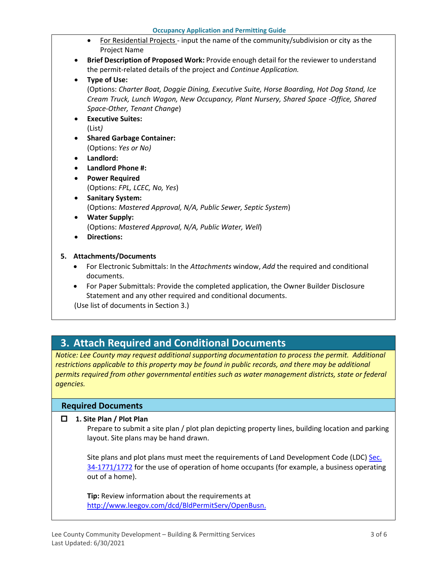- For Residential Projects input the name of the community/subdivision or city as the Project Name
- **Brief Description of Proposed Work:** Provide enough detail for the reviewer to understand the permit-related details of the project and *Continue Application.*
- **Type of Use:**

(Options: *Charter Boat, Doggie Dining, Executive Suite, Horse Boarding, Hot Dog Stand, Ice Cream Truck, Lunch Wagon, New Occupancy, Plant Nursery, Shared Space -Office, Shared Space-Other, Tenant Change*)

- **Executive Suites:** (List*)*
- **Shared Garbage Container:**  (Options: *Yes or No)*
- **Landlord:**
- **Landlord Phone #:**
- **Power Required** (Options: *FPL, LCEC, No, Yes*)
- **Sanitary System:** (Options: *Mastered Approval, N/A, Public Sewer, Septic System*)
- **Water Supply:** (Options: *Mastered Approval, N/A, Public Water, Well*)
- **Directions:**

### **5. Attachments/Documents**

- For Electronic Submittals: In the *Attachments* window, *Add* the required and conditional documents.
- For Paper Submittals: Provide the completed application, the Owner Builder Disclosure Statement and any other required and conditional documents.

(Use list of documents in Section 3.)

# <span id="page-2-0"></span>**3. Attach Required and Conditional Documents**

*Notice: Lee County may request additional supporting documentation to process the permit. Additional*  restrictions applicable to this property may be found in public records, and there may be additional *permits required from other governmental entities such as water management districts, state or federal agencies.*

### **Required Documents**

#### **1. Site Plan / Plot Plan**

Prepare to submit a site plan / plot plan depicting property lines, building location and parking layout. Site plans may be hand drawn.

Site plans and plot plans must meet the requirements of Land Development Code (LDC) [Sec.](https://www.municode.com/library/fl/lee_county/codes/land_development_code?nodeId=LADECO_CH34ZO_ARTVIISUDIRE_DIV18HOOCLIRKUN_S34-1771INDI)  [34-1771/1772](https://www.municode.com/library/fl/lee_county/codes/land_development_code?nodeId=LADECO_CH34ZO_ARTVIISUDIRE_DIV18HOOCLIRKUN_S34-1771INDI) for the use of operation of home occupants (for example, a business operating out of a home).

**Tip:** Review information about the requirements at [http://www.leegov.com/dcd/BldPermitServ/OpenBusn.](http://www.leegov.com/dcd/BldPermitServ/OpenBusn)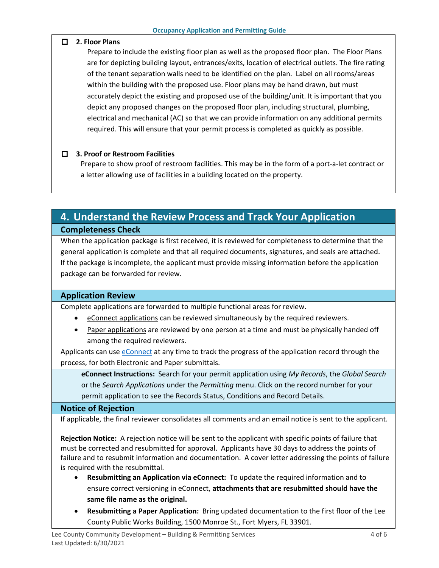#### **2. Floor Plans**

Prepare to include the existing floor plan as well as the proposed floor plan. The Floor Plans are for depicting building layout, entrances/exits, location of electrical outlets. The fire rating of the tenant separation walls need to be identified on the plan. Label on all rooms/areas within the building with the proposed use. Floor plans may be hand drawn, but must accurately depict the existing and proposed use of the building/unit. It is important that you depict any proposed changes on the proposed floor plan, including structural, plumbing, electrical and mechanical (AC) so that we can provide information on any additional permits required. This will ensure that your permit process is completed as quickly as possible.

#### **3. Proof or Restroom Facilities**

Prepare to show proof of restroom facilities. This may be in the form of a port-a-let contract or a letter allowing use of facilities in a building located on the property.

# <span id="page-3-0"></span>**4. Understand the Review Process and Track Your Application Completeness Check**

When the application package is first received, it is reviewed for completeness to determine that the general application is complete and that all required documents, signatures, and seals are attached. If the package is incomplete, the applicant must provide missing information before the application package can be forwarded for review.

#### **Application Review**

Complete applications are forwarded to multiple functional areas for review.

- eConnect applications can be reviewed simultaneously by the required reviewers.
- Paper applications are reviewed by one person at a time and must be physically handed off among the required reviewers.

Applicants can use [eConnect](https://accelaaca.leegov.com/aca/) at any time to track the progress of the application record through the process, for both Electronic and Paper submittals.

**eConnect Instructions:** Search for your permit application using *My Records*, the *Global Search* or the *Search Applications* under the *Permitting* menu. Click on the record number for your permit application to see the Records Status, Conditions and Record Details.

#### **Notice of Rejection**

If applicable, the final reviewer consolidates all comments and an email notice is sent to the applicant.

**Rejection Notice:** A rejection notice will be sent to the applicant with specific points of failure that must be corrected and resubmitted for approval. Applicants have 30 days to address the points of failure and to resubmit information and documentation. A cover letter addressing the points of failure is required with the resubmittal.

- **Resubmitting an Application via eConnect:** To update the required information and to ensure correct versioning in eConnect, **attachments that are resubmitted should have the same file name as the original.**
- **Resubmitting a Paper Application:** Bring updated documentation to the first floor of the Lee County Public Works Building, 1500 Monroe St., Fort Myers, FL 33901.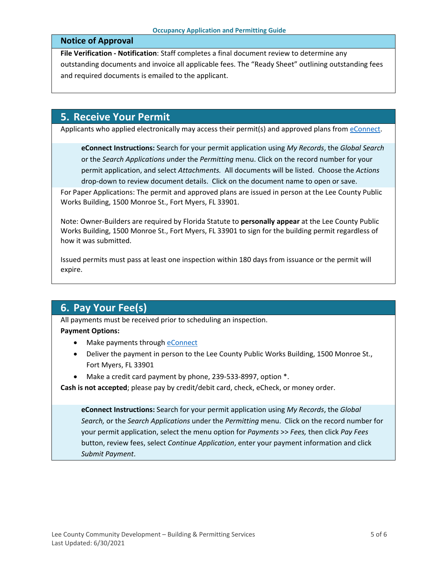#### **Notice of Approval**

**File Verification - Notification**: Staff completes a final document review to determine any outstanding documents and invoice all applicable fees. The "Ready Sheet" outlining outstanding fees and required documents is emailed to the applicant.

## <span id="page-4-0"></span>**5. Receive Your Permit**

Applicants who applied electronically may access their permit(s) and approved plans from [eConnect.](https://accelaaca.leegov.com/aca/)

**eConnect Instructions:** Search for your permit application using *My Records*, the *Global Search* or the *Search Applications u*nder the *Permitting* menu. Click on the record number for your permit application, and select *Attachments.* All documents will be listed. Choose the *Actions*  drop-down to review document details. Click on the document name to open or save.

For Paper Applications: The permit and approved plans are issued in person at the Lee County Public Works Building, 1500 Monroe St., Fort Myers, FL 33901.

Note: Owner-Builders are required by Florida Statute to **personally appear** at the Lee County Public Works Building, 1500 Monroe St., Fort Myers, FL 33901 to sign for the building permit regardless of how it was submitted.

Issued permits must pass at least one inspection within 180 days from issuance or the permit will expire.

# <span id="page-4-1"></span>**6. Pay Your Fee(s)**

All payments must be received prior to scheduling an inspection.

#### **Payment Options:**

- Make payments through [eConnect](https://accelaaca.leegov.com/aca/)
- Deliver the payment in person to the Lee County Public Works Building, 1500 Monroe St., Fort Myers, FL 33901
- Make a credit card payment by phone, 239-533-8997, option  $*$ .

**Cash is not accepted**; please pay by credit/debit card, check, eCheck, or money order.

**eConnect Instructions:** Search for your permit application using *My Records*, the *Global Search,* or the *Search Applications* under the *Permitting* menu. Click on the record number for your permit application, select the menu option for *Payments* >> *Fees,* then click *Pay Fees* button, review fees, select *Continue Application*, enter your payment information and click *Submit Payment*.